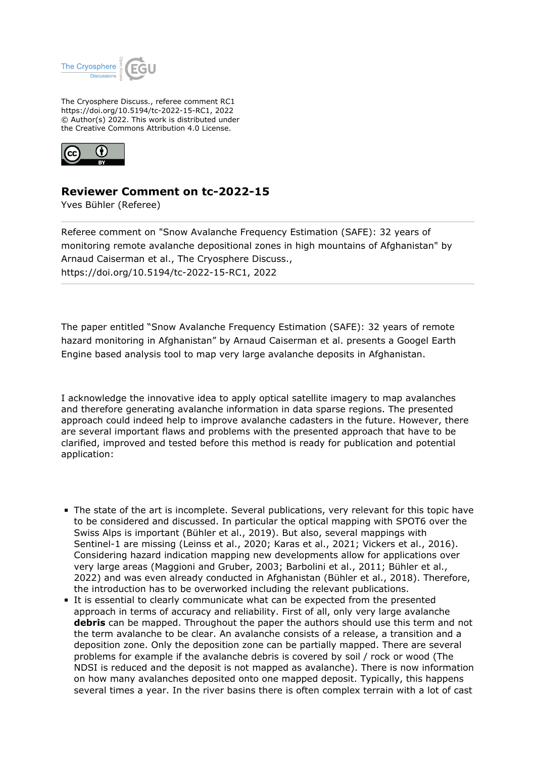

The Cryosphere Discuss., referee comment RC1 https://doi.org/10.5194/tc-2022-15-RC1, 2022 © Author(s) 2022. This work is distributed under the Creative Commons Attribution 4.0 License.



## **Reviewer Comment on tc-2022-15**

Yves Bühler (Referee)

Referee comment on "Snow Avalanche Frequency Estimation (SAFE): 32 years of monitoring remote avalanche depositional zones in high mountains of Afghanistan" by Arnaud Caiserman et al., The Cryosphere Discuss., https://doi.org/10.5194/tc-2022-15-RC1, 2022

The paper entitled "Snow Avalanche Frequency Estimation (SAFE): 32 years of remote hazard monitoring in Afghanistan" by Arnaud Caiserman et al. presents a Googel Earth Engine based analysis tool to map very large avalanche deposits in Afghanistan.

I acknowledge the innovative idea to apply optical satellite imagery to map avalanches and therefore generating avalanche information in data sparse regions. The presented approach could indeed help to improve avalanche cadasters in the future. However, there are several important flaws and problems with the presented approach that have to be clarified, improved and tested before this method is ready for publication and potential application:

- The state of the art is incomplete. Several publications, very relevant for this topic have to be considered and discussed. In particular the optical mapping with SPOT6 over the Swiss Alps is important (Bühler et al., 2019). But also, several mappings with Sentinel-1 are missing (Leinss et al., 2020; Karas et al., 2021; Vickers et al., 2016). Considering hazard indication mapping new developments allow for applications over very large areas (Maggioni and Gruber, 2003; Barbolini et al., 2011; Bühler et al., 2022) and was even already conducted in Afghanistan (Bühler et al., 2018). Therefore, the introduction has to be overworked including the relevant publications.
- It is essential to clearly communicate what can be expected from the presented approach in terms of accuracy and reliability. First of all, only very large avalanche **debris** can be mapped. Throughout the paper the authors should use this term and not the term avalanche to be clear. An avalanche consists of a release, a transition and a deposition zone. Only the deposition zone can be partially mapped. There are several problems for example if the avalanche debris is covered by soil / rock or wood (The NDSI is reduced and the deposit is not mapped as avalanche). There is now information on how many avalanches deposited onto one mapped deposit. Typically, this happens several times a year. In the river basins there is often complex terrain with a lot of cast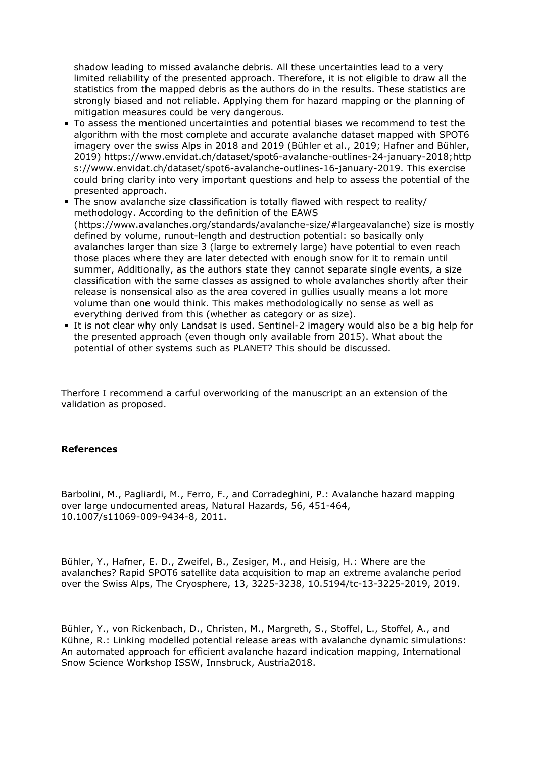shadow leading to missed avalanche debris. All these uncertainties lead to a very limited reliability of the presented approach. Therefore, it is not eligible to draw all the statistics from the mapped debris as the authors do in the results. These statistics are strongly biased and not reliable. Applying them for hazard mapping or the planning of mitigation measures could be very dangerous.

- To assess the mentioned uncertainties and potential biases we recommend to test the algorithm with the most complete and accurate avalanche dataset mapped with SPOT6 imagery over the swiss Alps in 2018 and 2019 (Bühler et al., 2019; Hafner and Bühler, 2019) https://www.envidat.ch/dataset/spot6-avalanche-outlines-24-january-2018;http s://www.envidat.ch/dataset/spot6-avalanche-outlines-16-january-2019. This exercise could bring clarity into very important questions and help to assess the potential of the presented approach.
- The snow avalanche size classification is totally flawed with respect to reality/ methodology. According to the definition of the EAWS (https://www.avalanches.org/standards/avalanche-size/#largeavalanche) size is mostly defined by volume, runout-length and destruction potential: so basically only avalanches larger than size 3 (large to extremely large) have potential to even reach those places where they are later detected with enough snow for it to remain until summer, Additionally, as the authors state they cannot separate single events, a size classification with the same classes as assigned to whole avalanches shortly after their release is nonsensical also as the area covered in gullies usually means a lot more volume than one would think. This makes methodologically no sense as well as everything derived from this (whether as category or as size).
- It is not clear why only Landsat is used. Sentinel-2 imagery would also be a big help for the presented approach (even though only available from 2015). What about the potential of other systems such as PLANET? This should be discussed.

Therfore I recommend a carful overworking of the manuscript an an extension of the validation as proposed.

## **References**

Barbolini, M., Pagliardi, M., Ferro, F., and Corradeghini, P.: Avalanche hazard mapping over large undocumented areas, Natural Hazards, 56, 451-464, 10.1007/s11069-009-9434-8, 2011.

Bühler, Y., Hafner, E. D., Zweifel, B., Zesiger, M., and Heisig, H.: Where are the avalanches? Rapid SPOT6 satellite data acquisition to map an extreme avalanche period over the Swiss Alps, The Cryosphere, 13, 3225-3238, 10.5194/tc-13-3225-2019, 2019.

Bühler, Y., von Rickenbach, D., Christen, M., Margreth, S., Stoffel, L., Stoffel, A., and Kühne, R.: Linking modelled potential release areas with avalanche dynamic simulations: An automated approach for efficient avalanche hazard indication mapping, International Snow Science Workshop ISSW, Innsbruck, Austria2018.